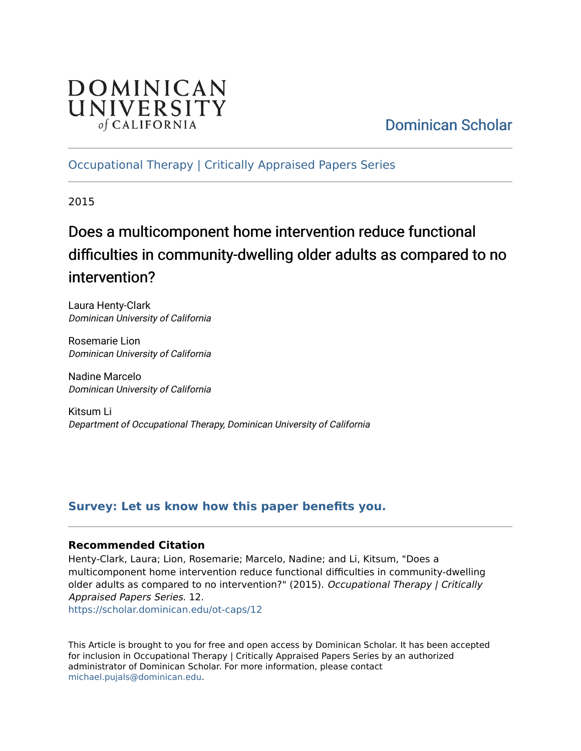# DOMINICAN UNIVERSITY of CALIFORNIA

# [Dominican Scholar](https://scholar.dominican.edu/)

# [Occupational Therapy | Critically Appraised Papers Series](https://scholar.dominican.edu/ot-caps)

2015

# Does a multicomponent home intervention reduce functional difficulties in community-dwelling older adults as compared to no intervention?

Laura Henty-Clark Dominican University of California

Rosemarie Lion Dominican University of California

Nadine Marcelo Dominican University of California

Kitsum Li Department of Occupational Therapy, Dominican University of California

# **[Survey: Let us know how this paper benefits you.](https://dominican.libwizard.com/dominican-scholar-feedback)**

#### **Recommended Citation**

Henty-Clark, Laura; Lion, Rosemarie; Marcelo, Nadine; and Li, Kitsum, "Does a multicomponent home intervention reduce functional difficulties in community-dwelling older adults as compared to no intervention?" (2015). Occupational Therapy | Critically Appraised Papers Series. 12.

[https://scholar.dominican.edu/ot-caps/12](https://scholar.dominican.edu/ot-caps/12?utm_source=scholar.dominican.edu%2Fot-caps%2F12&utm_medium=PDF&utm_campaign=PDFCoverPages) 

This Article is brought to you for free and open access by Dominican Scholar. It has been accepted for inclusion in Occupational Therapy | Critically Appraised Papers Series by an authorized administrator of Dominican Scholar. For more information, please contact [michael.pujals@dominican.edu.](mailto:michael.pujals@dominican.edu)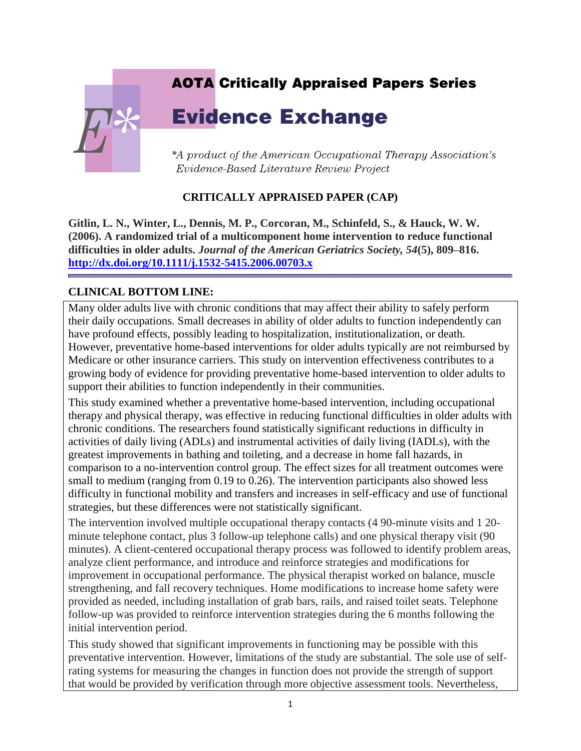# **AOTA Critically Appraised Papers Series**

# **Evidence Exchange**

\*A product of the American Occupational Therapy Association's Evidence-Based Literature Review Project

#### **CRITICALLY APPRAISED PAPER (CAP)**

**Gitlin, L. N., Winter, L., Dennis, M. P., Corcoran, M., Schinfeld, S., & Hauck, W. W. (2006). A randomized trial of a multicomponent home intervention to reduce functional difficulties in older adults.** *Journal of the American Geriatrics Society, 54***(5), 809–816. <http://dx.doi.org/10.1111/j.1532-5415.2006.00703.x>**

#### **CLINICAL BOTTOM LINE:**

Many older adults live with chronic conditions that may affect their ability to safely perform their daily occupations. Small decreases in ability of older adults to function independently can have profound effects, possibly leading to hospitalization, institutionalization, or death. However, preventative home-based interventions for older adults typically are not reimbursed by Medicare or other insurance carriers. This study on intervention effectiveness contributes to a growing body of evidence for providing preventative home-based intervention to older adults to support their abilities to function independently in their communities.

This study examined whether a preventative home-based intervention, including occupational therapy and physical therapy, was effective in reducing functional difficulties in older adults with chronic conditions. The researchers found statistically significant reductions in difficulty in activities of daily living (ADLs) and instrumental activities of daily living (IADLs), with the greatest improvements in bathing and toileting, and a decrease in home fall hazards, in comparison to a no-intervention control group. The effect sizes for all treatment outcomes were small to medium (ranging from 0.19 to 0.26). The intervention participants also showed less difficulty in functional mobility and transfers and increases in self-efficacy and use of functional strategies, but these differences were not statistically significant.

The intervention involved multiple occupational therapy contacts (4 90-minute visits and 1 20 minute telephone contact, plus 3 follow-up telephone calls) and one physical therapy visit (90 minutes). A client-centered occupational therapy process was followed to identify problem areas, analyze client performance, and introduce and reinforce strategies and modifications for improvement in occupational performance. The physical therapist worked on balance, muscle strengthening, and fall recovery techniques. Home modifications to increase home safety were provided as needed, including installation of grab bars, rails, and raised toilet seats. Telephone follow-up was provided to reinforce intervention strategies during the 6 months following the initial intervention period.

This study showed that significant improvements in functioning may be possible with this preventative intervention. However, limitations of the study are substantial. The sole use of selfrating systems for measuring the changes in function does not provide the strength of support that would be provided by verification through more objective assessment tools. Nevertheless,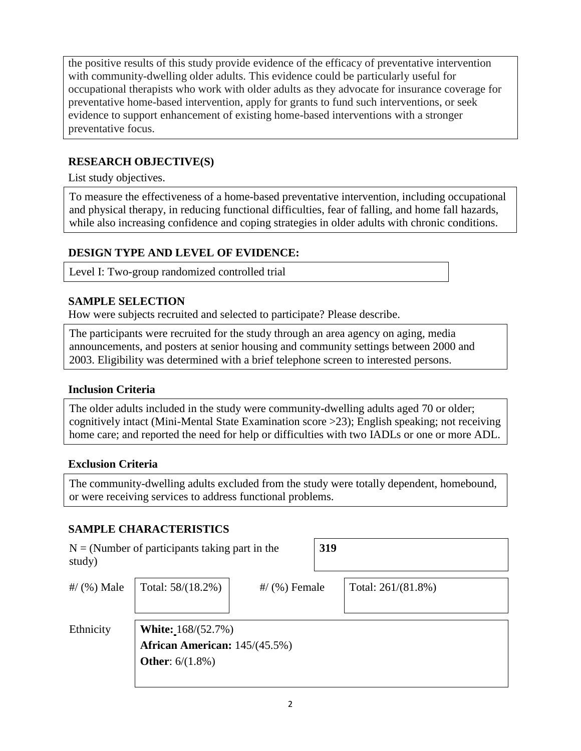the positive results of this study provide evidence of the efficacy of preventative intervention with community-dwelling older adults. This evidence could be particularly useful for occupational therapists who work with older adults as they advocate for insurance coverage for preventative home-based intervention, apply for grants to fund such interventions, or seek evidence to support enhancement of existing home-based interventions with a stronger preventative focus.

### **RESEARCH OBJECTIVE(S)**

List study objectives.

To measure the effectiveness of a home-based preventative intervention, including occupational and physical therapy, in reducing functional difficulties, fear of falling, and home fall hazards, while also increasing confidence and coping strategies in older adults with chronic conditions.

#### **DESIGN TYPE AND LEVEL OF EVIDENCE:**

Level I: Two-group randomized controlled trial

#### **SAMPLE SELECTION**

How were subjects recruited and selected to participate? Please describe.

The participants were recruited for the study through an area agency on aging, media announcements, and posters at senior housing and community settings between 2000 and 2003. Eligibility was determined with a brief telephone screen to interested persons.

#### **Inclusion Criteria**

The older adults included in the study were community-dwelling adults aged 70 or older; cognitively intact (Mini-Mental State Examination score >23); English speaking; not receiving home care; and reported the need for help or difficulties with two IADLs or one or more ADL.

#### **Exclusion Criteria**

The community-dwelling adults excluded from the study were totally dependent, homebound, or were receiving services to address functional problems.

#### **SAMPLE CHARACTERISTICS**

| study)        | $N = (Number of participants taking part in the)$                                |                 | 319 |                       |
|---------------|----------------------------------------------------------------------------------|-----------------|-----|-----------------------|
| #/ $(%)$ Male | Total: 58/(18.2%)                                                                | $\#$ (%) Female |     | Total: $261/(81.8\%)$ |
| Ethnicity     | White: 168/(52.7%)<br>African American: 145/(45.5%)<br><b>Other:</b> $6/(1.8\%)$ |                 |     |                       |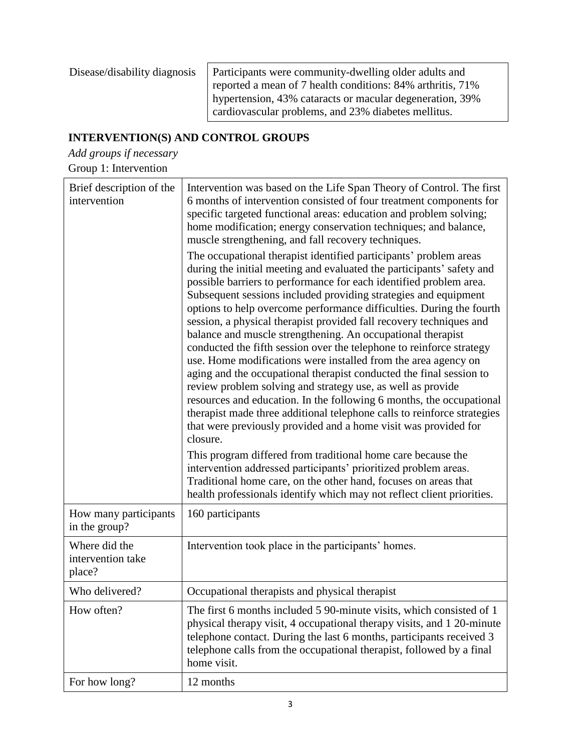| Disease/disability diagnosis | Participants were community-dwelling older adults and<br>reported a mean of 7 health conditions: 84% arthritis, 71% |
|------------------------------|---------------------------------------------------------------------------------------------------------------------|
|                              | hypertension, 43% cataracts or macular degeneration, 39%<br>cardiovascular problems, and 23% diabetes mellitus.     |

# **INTERVENTION(S) AND CONTROL GROUPS**

*Add groups if necessary*

Group 1: Intervention

| Brief description of the<br>intervention     | Intervention was based on the Life Span Theory of Control. The first<br>6 months of intervention consisted of four treatment components for<br>specific targeted functional areas: education and problem solving;<br>home modification; energy conservation techniques; and balance,<br>muscle strengthening, and fall recovery techniques.                                                                                                                                                                                                                                                                                                                                                                                                                                                                                                                                                                                                                                                                                                                                                                                                                                                                                                                                                         |
|----------------------------------------------|-----------------------------------------------------------------------------------------------------------------------------------------------------------------------------------------------------------------------------------------------------------------------------------------------------------------------------------------------------------------------------------------------------------------------------------------------------------------------------------------------------------------------------------------------------------------------------------------------------------------------------------------------------------------------------------------------------------------------------------------------------------------------------------------------------------------------------------------------------------------------------------------------------------------------------------------------------------------------------------------------------------------------------------------------------------------------------------------------------------------------------------------------------------------------------------------------------------------------------------------------------------------------------------------------------|
|                                              | The occupational therapist identified participants' problem areas<br>during the initial meeting and evaluated the participants' safety and<br>possible barriers to performance for each identified problem area.<br>Subsequent sessions included providing strategies and equipment<br>options to help overcome performance difficulties. During the fourth<br>session, a physical therapist provided fall recovery techniques and<br>balance and muscle strengthening. An occupational therapist<br>conducted the fifth session over the telephone to reinforce strategy<br>use. Home modifications were installed from the area agency on<br>aging and the occupational therapist conducted the final session to<br>review problem solving and strategy use, as well as provide<br>resources and education. In the following 6 months, the occupational<br>therapist made three additional telephone calls to reinforce strategies<br>that were previously provided and a home visit was provided for<br>closure.<br>This program differed from traditional home care because the<br>intervention addressed participants' prioritized problem areas.<br>Traditional home care, on the other hand, focuses on areas that<br>health professionals identify which may not reflect client priorities. |
| How many participants<br>in the group?       | 160 participants                                                                                                                                                                                                                                                                                                                                                                                                                                                                                                                                                                                                                                                                                                                                                                                                                                                                                                                                                                                                                                                                                                                                                                                                                                                                                    |
| Where did the<br>intervention take<br>place? | Intervention took place in the participants' homes.                                                                                                                                                                                                                                                                                                                                                                                                                                                                                                                                                                                                                                                                                                                                                                                                                                                                                                                                                                                                                                                                                                                                                                                                                                                 |
| Who delivered?                               | Occupational therapists and physical therapist                                                                                                                                                                                                                                                                                                                                                                                                                                                                                                                                                                                                                                                                                                                                                                                                                                                                                                                                                                                                                                                                                                                                                                                                                                                      |
| How often?                                   | The first 6 months included 5 90-minute visits, which consisted of 1<br>physical therapy visit, 4 occupational therapy visits, and 1 20-minute<br>telephone contact. During the last 6 months, participants received 3<br>telephone calls from the occupational therapist, followed by a final<br>home visit.                                                                                                                                                                                                                                                                                                                                                                                                                                                                                                                                                                                                                                                                                                                                                                                                                                                                                                                                                                                       |
| For how long?                                | 12 months                                                                                                                                                                                                                                                                                                                                                                                                                                                                                                                                                                                                                                                                                                                                                                                                                                                                                                                                                                                                                                                                                                                                                                                                                                                                                           |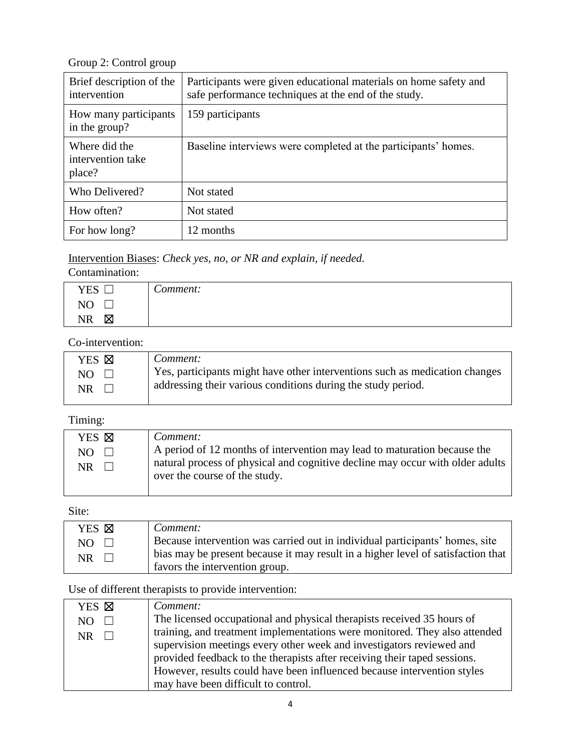Group 2: Control group

| Brief description of the<br>intervention     | Participants were given educational materials on home safety and<br>safe performance techniques at the end of the study. |
|----------------------------------------------|--------------------------------------------------------------------------------------------------------------------------|
| How many participants<br>in the group?       | 159 participants                                                                                                         |
| Where did the<br>intervention take<br>place? | Baseline interviews were completed at the participants' homes.                                                           |
| Who Delivered?                               | Not stated                                                                                                               |
| How often?                                   | Not stated                                                                                                               |
| For how long?                                | 12 months                                                                                                                |

#### Intervention Biases: *Check yes, no, or NR and explain, if needed.*

#### Contamination:

| <b>YES</b><br>ىسا           | $\sqrt{ }$<br>comment: C |
|-----------------------------|--------------------------|
| N <sub>O</sub><br>19 U<br>ᆸ |                          |
| Χ<br><b>NR</b>              |                          |

# Co-intervention:

| YES <b>X</b>        | Comment:                                                                                                                                    |
|---------------------|---------------------------------------------------------------------------------------------------------------------------------------------|
| $NO \square$<br>NR. | Yes, participants might have other interventions such as medication changes<br>addressing their various conditions during the study period. |
|                     |                                                                                                                                             |

#### Timing:

| YES ⊠         | Comment:                                                                      |
|---------------|-------------------------------------------------------------------------------|
| NO.<br>$\Box$ | A period of 12 months of intervention may lead to maturation because the      |
| NR.           | natural process of physical and cognitive decline may occur with older adults |
|               | over the course of the study.                                                 |
|               |                                                                               |

# Site:

| YES <b>X</b> | Comment:                                                                         |
|--------------|----------------------------------------------------------------------------------|
| $NO$ $\Box$  | Because intervention was carried out in individual participants' homes, site     |
| NR.          | bias may be present because it may result in a higher level of satisfaction that |
|              | favors the intervention group.                                                   |

## Use of different therapists to provide intervention:

| YES <b>X</b> | Comment:                                                                   |
|--------------|----------------------------------------------------------------------------|
| NO.          | The licensed occupational and physical therapists received 35 hours of     |
| NR.          | training, and treatment implementations were monitored. They also attended |
|              | supervision meetings every other week and investigators reviewed and       |
|              | provided feedback to the therapists after receiving their taped sessions.  |
|              | However, results could have been influenced because intervention styles    |
|              | may have been difficult to control.                                        |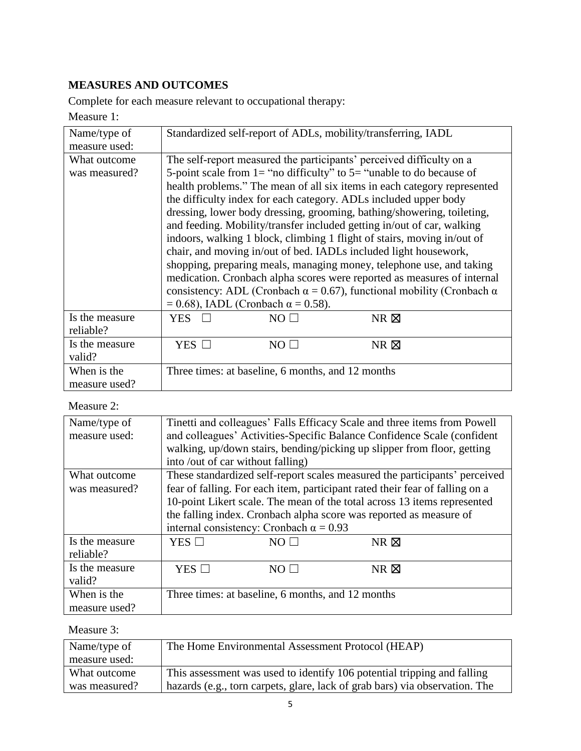# **MEASURES AND OUTCOMES**

Complete for each measure relevant to occupational therapy:

Measure 1:

| Name/type of<br>measure used: | Standardized self-report of ADLs, mobility/transferring, IADL                       |  |  |
|-------------------------------|-------------------------------------------------------------------------------------|--|--|
|                               |                                                                                     |  |  |
| What outcome                  | The self-report measured the participants' perceived difficulty on a                |  |  |
| was measured?                 | 5-point scale from $1 =$ "no difficulty" to $5 =$ "unable to do because of          |  |  |
|                               | health problems." The mean of all six items in each category represented            |  |  |
|                               | the difficulty index for each category. ADLs included upper body                    |  |  |
|                               | dressing, lower body dressing, grooming, bathing/showering, toileting,              |  |  |
|                               | and feeding. Mobility/transfer included getting in/out of car, walking              |  |  |
|                               | indoors, walking 1 block, climbing 1 flight of stairs, moving in/out of             |  |  |
|                               | chair, and moving in/out of bed. IADLs included light housework,                    |  |  |
|                               | shopping, preparing meals, managing money, telephone use, and taking                |  |  |
|                               | medication. Cronbach alpha scores were reported as measures of internal             |  |  |
|                               | consistency: ADL (Cronbach $\alpha$ = 0.67), functional mobility (Cronbach $\alpha$ |  |  |
|                               | $= 0.68$ ), IADL (Cronbach $\alpha = 0.58$ ).                                       |  |  |
| Is the measure                | NO I<br>$NR \boxtimes$<br>YES                                                       |  |  |
| reliable?                     |                                                                                     |  |  |
| Is the measure                | YES $\Box$<br>$NR \boxtimes$<br>$NO \Box$                                           |  |  |
| valid?                        |                                                                                     |  |  |
| When is the                   | Three times: at baseline, 6 months, and 12 months                                   |  |  |
| measure used?                 |                                                                                     |  |  |

### Measure 2:

| Name/type of   |                                                                              |                                                   | Tinetti and colleagues' Falls Efficacy Scale and three items from Powell   |
|----------------|------------------------------------------------------------------------------|---------------------------------------------------|----------------------------------------------------------------------------|
| measure used:  | and colleagues' Activities-Specific Balance Confidence Scale (confident      |                                                   |                                                                            |
|                | walking, up/down stairs, bending/picking up slipper from floor, getting      |                                                   |                                                                            |
|                | into /out of car without falling)                                            |                                                   |                                                                            |
| What outcome   |                                                                              |                                                   | These standardized self-report scales measured the participants' perceived |
| was measured?  | fear of falling. For each item, participant rated their fear of falling on a |                                                   |                                                                            |
|                | 10-point Likert scale. The mean of the total across 13 items represented     |                                                   |                                                                            |
|                | the falling index. Cronbach alpha score was reported as measure of           |                                                   |                                                                            |
|                |                                                                              | internal consistency: Cronbach $\alpha = 0.93$    |                                                                            |
| Is the measure | YES $\square$                                                                | NO LI                                             | $NR \boxtimes$                                                             |
| reliable?      |                                                                              |                                                   |                                                                            |
| Is the measure | YES $\square$                                                                | $NO+$                                             | $NR$ $\boxtimes$                                                           |
| valid?         |                                                                              |                                                   |                                                                            |
| When is the    |                                                                              | Three times: at baseline, 6 months, and 12 months |                                                                            |
| measure used?  |                                                                              |                                                   |                                                                            |

### Measure 3:

| Name/type of  | The Home Environmental Assessment Protocol (HEAP)                           |
|---------------|-----------------------------------------------------------------------------|
| measure used: |                                                                             |
| What outcome  | This assessment was used to identify 106 potential tripping and falling     |
| was measured? | hazards (e.g., torn carpets, glare, lack of grab bars) via observation. The |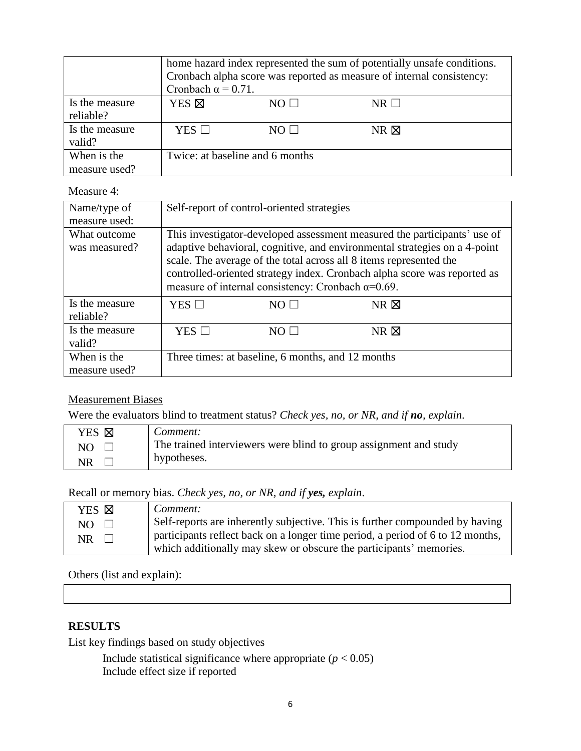|                             | home hazard index represented the sum of potentially unsafe conditions.<br>Cronbach alpha score was reported as measure of internal consistency:<br>Cronbach $\alpha$ = 0.71. |            |                |
|-----------------------------|-------------------------------------------------------------------------------------------------------------------------------------------------------------------------------|------------|----------------|
| Is the measure<br>reliable? | YES <sup><math>\boxtimes</math></sup>                                                                                                                                         | $NO \perp$ | $NR$           |
| Is the measure<br>valid?    | $YES$ $\square$                                                                                                                                                               | NO $\Box$  | $NR \boxtimes$ |
| When is the                 | Twice: at baseline and 6 months                                                                                                                                               |            |                |
| measure used?               |                                                                                                                                                                               |            |                |

#### Measure 4:

| Name/type of<br>measure used: |                                                                                                                                                                                                                                                                                                                                                                      | Self-report of control-oriented strategies        |                  |
|-------------------------------|----------------------------------------------------------------------------------------------------------------------------------------------------------------------------------------------------------------------------------------------------------------------------------------------------------------------------------------------------------------------|---------------------------------------------------|------------------|
| What outcome<br>was measured? | This investigator-developed assessment measured the participants' use of<br>adaptive behavioral, cognitive, and environmental strategies on a 4-point<br>scale. The average of the total across all 8 items represented the<br>controlled-oriented strategy index. Cronbach alpha score was reported as<br>measure of internal consistency: Cronbach $\alpha$ =0.69. |                                                   |                  |
| Is the measure<br>reliable?   | YES $\Box$                                                                                                                                                                                                                                                                                                                                                           | NO LI                                             | $NR$ $\boxtimes$ |
| Is the measure<br>valid?      | YES $\square$                                                                                                                                                                                                                                                                                                                                                        | NOT                                               | $NR$ $\boxtimes$ |
| When is the<br>measure used?  |                                                                                                                                                                                                                                                                                                                                                                      | Three times: at baseline, 6 months, and 12 months |                  |

#### Measurement Biases

Were the evaluators blind to treatment status? *Check yes, no, or NR, and if no, explain*.

| YES <b>X</b> | Comment:                                                          |
|--------------|-------------------------------------------------------------------|
| NO           | The trained interviewers were blind to group assignment and study |
| NR           | hypotheses.                                                       |

Recall or memory bias. *Check yes, no, or NR, and if yes, explain*.

| YES <b>X</b> | Comment:                                                                       |
|--------------|--------------------------------------------------------------------------------|
| $NO \square$ | Self-reports are inherently subjective. This is further compounded by having   |
| $NR \Box$    | participants reflect back on a longer time period, a period of 6 to 12 months, |
|              | which additionally may skew or obscure the participants' memories.             |

#### Others (list and explain):

#### **RESULTS**

List key findings based on study objectives

Include statistical significance where appropriate  $(p < 0.05)$ Include effect size if reported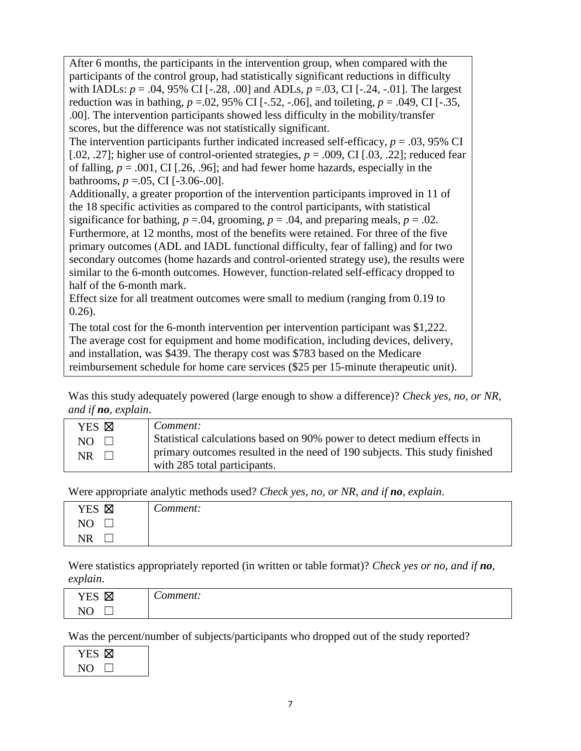After 6 months, the participants in the intervention group, when compared with the participants of the control group, had statistically significant reductions in difficulty with IADLs: *p* = .04, 95% CI [-.28, .00] and ADLs, *p* =.03, CI [-.24, -.01]. The largest reduction was in bathing,  $p = 0.02$ ,  $95\%$  CI [ $-.52$ ,  $-.06$ ], and toileting,  $p = .049$ , CI [ $-.35$ , .00]. The intervention participants showed less difficulty in the mobility/transfer scores, but the difference was not statistically significant.

The intervention participants further indicated increased self-efficacy,  $p = .03,95\%$  CI [.02, .27]; higher use of control-oriented strategies,  $p = .009$ , CI [.03, .22]; reduced fear of falling,  $p = .001$ , CI [.26, .96]; and had fewer home hazards, especially in the bathrooms,  $p = .05$ , CI  $[-3.06-.00]$ .

Additionally, a greater proportion of the intervention participants improved in 11 of the 18 specific activities as compared to the control participants, with statistical significance for bathing,  $p = .04$ , grooming,  $p = .04$ , and preparing meals,  $p = .02$ . Furthermore, at 12 months, most of the benefits were retained. For three of the five primary outcomes (ADL and IADL functional difficulty, fear of falling) and for two secondary outcomes (home hazards and control-oriented strategy use), the results were similar to the 6-month outcomes. However, function-related self-efficacy dropped to half of the 6-month mark.

Effect size for all treatment outcomes were small to medium (ranging from 0.19 to 0.26).

The total cost for the 6-month intervention per intervention participant was \$1,222. The average cost for equipment and home modification, including devices, delivery, and installation, was \$439. The therapy cost was \$783 based on the Medicare reimbursement schedule for home care services (\$25 per 15-minute therapeutic unit).

Was this study adequately powered (large enough to show a difference)? *Check yes, no, or NR, and if no, explain*.

| YES <b>N</b>  | Comment:                                                                   |
|---------------|----------------------------------------------------------------------------|
| $NO \square$  | Statistical calculations based on 90% power to detect medium effects in    |
| $\Box$<br>NR. | primary outcomes resulted in the need of 190 subjects. This study finished |
|               | with 285 total participants.                                               |

Were appropriate analytic methods used? *Check yes, no, or NR, and if no, explain*.

| YES ⊠          | $\sqrt{ }$<br>Comment: |
|----------------|------------------------|
| N <sub>O</sub> |                        |
| NR             |                        |

Were statistics appropriately reported (in written or table format)? *Check yes or no, and if no, explain*.

| <b>VEC</b><br>⊠<br>سد             | omment: |
|-----------------------------------|---------|
| $\overline{ }$<br>m. 1<br>יי<br>◝ |         |

Was the percent/number of subjects/participants who dropped out of the study reported?

| Y ES- |  |
|-------|--|
| NO.   |  |